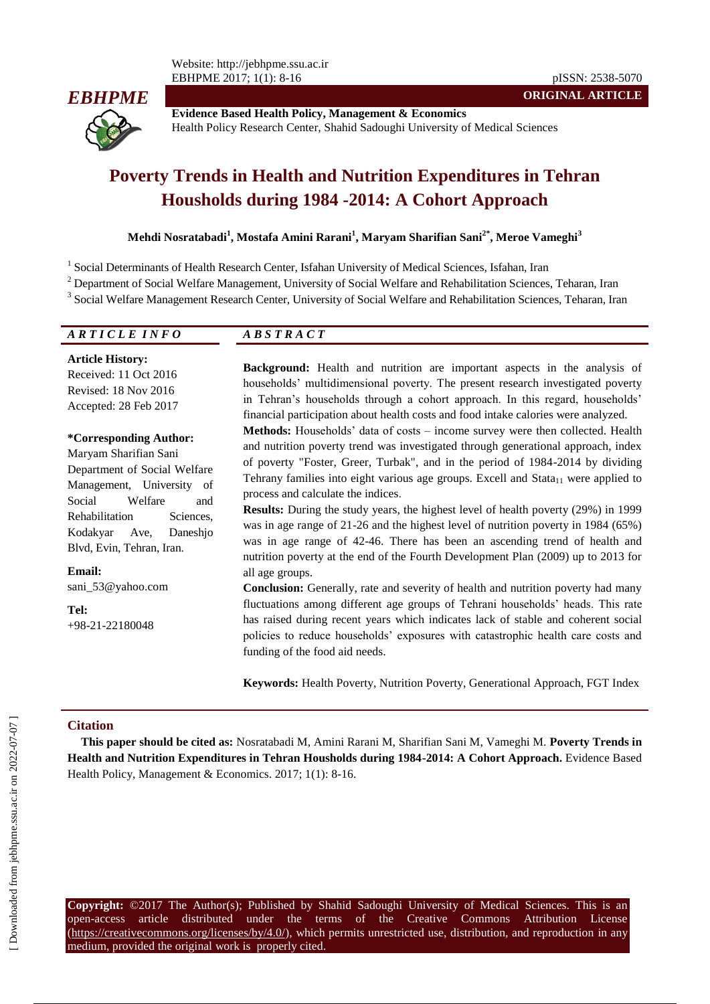

**Evidence Based Health Policy, Management & Economics** Health Policy Research Center, Shahid Sadoughi University of Medical Sciences

**ORIGINAL ARTICLE**

# **Poverty Trends in Health and Nutrition Expenditures in Tehran Housholds during 1984 -2014: A Cohort Approach**

### **Mehdi Nosratabadi<sup>1</sup> , Mostafa Amini Rarani<sup>1</sup> , Maryam Sharifian Sani2\* , Meroe Vameghi<sup>3</sup>**

<sup>1</sup> Social Determinants of Health Research Center, Isfahan University of Medical Sciences, Isfahan, Iran

all age groups.

<sup>2</sup> Department of Social Welfare Management, University of Social Welfare and Rehabilitation Sciences, Teharan, Iran

<sup>3</sup> Social Welfare Management Research Center, University of Social Welfare and Rehabilitation Sciences, Teharan, Iran

| ARTICLE INFO                                                                                                                                                                                                   | <i>ABSTRACT</i>                                                                                                                                                                                                                                                                                                                                                                                                                                                                                                                                                                                                                                                  |  |  |  |  |
|----------------------------------------------------------------------------------------------------------------------------------------------------------------------------------------------------------------|------------------------------------------------------------------------------------------------------------------------------------------------------------------------------------------------------------------------------------------------------------------------------------------------------------------------------------------------------------------------------------------------------------------------------------------------------------------------------------------------------------------------------------------------------------------------------------------------------------------------------------------------------------------|--|--|--|--|
| <b>Article History:</b><br>Received: 11 Oct 2016<br>Revised: 18 Nov 2016<br>Accepted: 28 Feb 2017                                                                                                              | Background: Health and nutrition are important aspects in the analysis of<br>households' multidimensional poverty. The present research investigated poverty<br>in Tehran's households through a cohort approach. In this regard, households'<br>financial participation about health costs and food intake calories were analyzed.                                                                                                                                                                                                                                                                                                                              |  |  |  |  |
| <i>*Corresponding Author:</i><br>Maryam Sharifian Sani<br>Department of Social Welfare<br>Management, University of<br>Welfare<br>Social<br>and<br>Rehabilitation<br>Sciences,<br>Kodakvar<br>Daneshio<br>Ave, | <b>Methods:</b> Households' data of costs – income survey were then collected. Health<br>and nutrition poverty trend was investigated through generational approach, index<br>of poverty "Foster, Greer, Turbak", and in the period of 1984-2014 by dividing<br>Tehrany families into eight various age groups. Excell and Stata <sub>11</sub> were applied to<br>process and calculate the indices.<br>Results: During the study years, the highest level of health poverty (29%) in 1999<br>was in age range of $21-26$ and the highest level of nutrition poverty in 1984 (65%)<br>was in age range of 42-46. There has been an ascending trend of health and |  |  |  |  |

**Email:** sani\_53@yahoo.com

**Tel:** +98-21-22180048

**Conclusion:** Generally, rate and severity of health and nutrition poverty had many fluctuations among different age groups of Tehrani households' heads. This rate has raised during recent years which indicates lack of stable and coherent social policies to reduce households' exposures with catastrophic health care costs and funding of the food aid needs.

**Keywords:** Health Poverty, Nutrition Poverty, Generational Approach, FGT Index

#### **Citation**

**This paper should be cited as:** Nosratabadi M, Amini Rarani M, Sharifian Sani M, Vameghi M. **Poverty Trends in Health and Nutrition Expenditures in Tehran Housholds during 1984-2014: A Cohort Approach.** Evidence Based Health Policy, Management & Economics. 2017; 1(1): 8-16.

**Copyright:** ©2017 The Author(s); Published by Shahid Sadoughi University of Medical Sciences. This is an open-access article distributed under the terms of the Creative Commons Attribution License (https://creativecommons.org/licenses/by/4.0/), which permits unrestricted use, distribution, and reproduction in any medium, provided the original work is properly cited.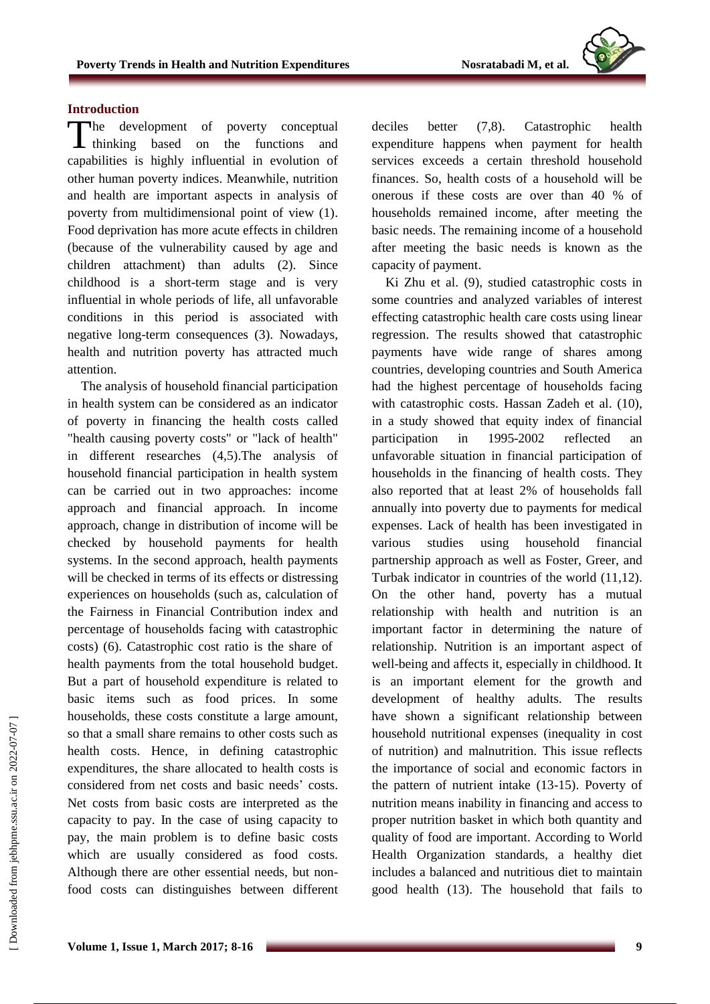### **Introduction**

The development of poverty conceptual thinking based on the functions and thinking based on the functions and capabilities is highly influential in evolution of other human poverty indices. Meanwhile, nutrition and health are important aspects in analysis of poverty from multidimensional point of view (1). Food deprivation has more acute effects in children (because of the vulnerability caused by age and children attachment) than adults (2). Since childhood is a short-term stage and is very influential in whole periods of life, all unfavorable conditions in this period is associated with negative long-term consequences (3). Nowadays, health and nutrition poverty has attracted much attention.

The analysis of household financial participation in health system can be considered as an indicator of poverty in financing the health costs called "health causing poverty costs" or "lack of health" in different researches (4,5).The analysis of household financial participation in health system can be carried out in two approaches: income approach and financial approach. In income approach, change in distribution of income will be checked by household payments for health systems. In the second approach, health payments will be checked in terms of its effects or distressing experiences on households (such as, calculation of the Fairness in Financial Contribution index and percentage of households facing with catastrophic costs) (6). Catastrophic cost ratio is the share of health payments from the total household budget. But a part of household expenditure is related to basic items such as food prices. In some households, these costs constitute a large amount, so that a small share remains to other costs such as health costs. Hence, in defining catastrophic expenditures, the share allocated to health costs is considered from net costs and basic needs' costs. Net costs from basic costs are interpreted as the capacity to pay. In the case of using capacity to pay, the main problem is to define basic costs which are usually considered as food costs. Although there are other essential needs, but nonfood costs can distinguishes between different

deciles better (7,8). Catastrophic health expenditure happens when payment for health services exceeds a certain threshold household finances. So, health costs of a household will be onerous if these costs are over than 40 % of households remained income, after meeting the basic needs. The remaining income of a household after meeting the basic needs is known as the capacity of payment.

Ki Zhu et al. (9), studied catastrophic costs in some countries and analyzed variables of interest effecting catastrophic health care costs using linear regression. The results showed that catastrophic payments have wide range of shares among countries, developing countries and South America had the highest percentage of households facing with catastrophic costs. Hassan Zadeh et al. (10), in a study showed that equity index of financial participation in 1995-2002 reflected an unfavorable situation in financial participation of households in the financing of health costs. They also reported that at least 2% of households fall annually into poverty due to payments for medical expenses. Lack of health has been investigated in various studies using household financial partnership approach as well as Foster, Greer, and Turbak indicator in countries of the world (11,12). On the other hand, poverty has a mutual relationship with health and nutrition is an important factor in determining the nature of relationship. Nutrition is an important aspect of well-being and affects it, especially in childhood. It is an important element for the growth and development of healthy adults. The results have shown a significant relationship between household nutritional expenses (inequality in cost of nutrition) and malnutrition. This issue reflects the importance of social and economic factors in the pattern of nutrient intake (13-15). Poverty of nutrition means inability in financing and access to proper nutrition basket in which both quantity and quality of food are important. According to World Health Organization standards, a healthy diet includes a balanced and nutritious diet to maintain good health (13). The household that fails to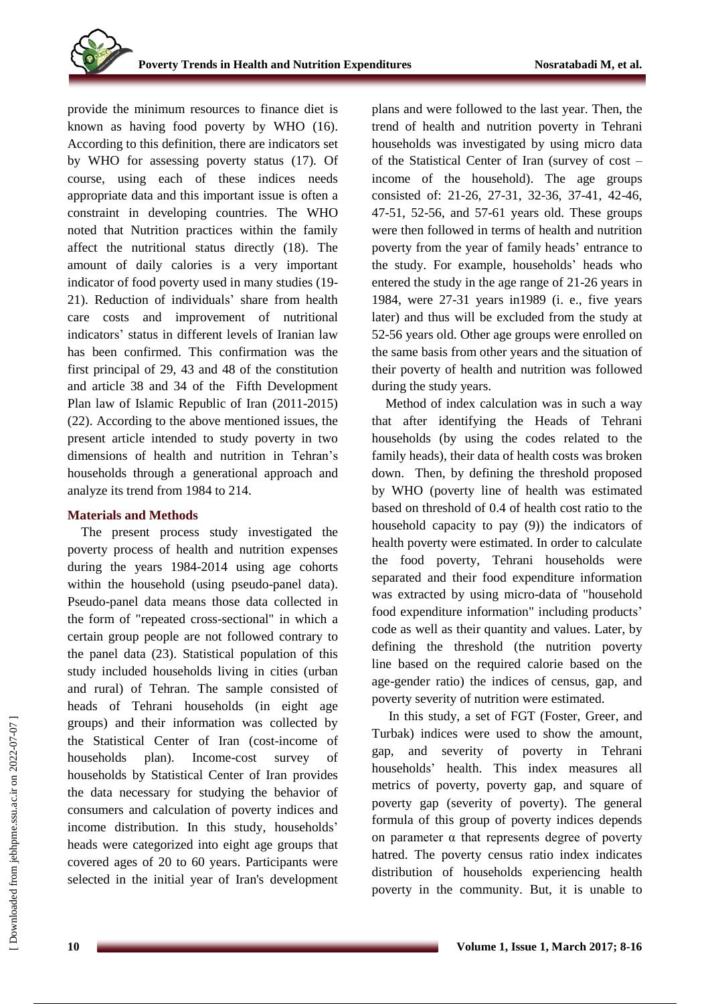provide the minimum resources to finance diet is known as having food poverty by WHO (16). According to this definition, there are indicators set by WHO for assessing poverty status (17). Of course, using each of these indices needs appropriate data and this important issue is often a constraint in developing countries. The WHO noted that Nutrition practices within the family affect the nutritional status directly (18). The amount of daily calories is a very important indicator of food poverty used in many studies (19- 21). Reduction of individuals' share from health care costs and improvement of nutritional indicators' status in different levels of Iranian law has been confirmed. This confirmation was the first principal of 29, 43 and 48 of the constitution and article 38 and 34 of the Fifth Development Plan law of Islamic Republic of Iran (2011-2015) (22). According to the above mentioned issues, the present article intended to study poverty in two dimensions of health and nutrition in Tehran's households through a generational approach and analyze its trend from 1984 to 214.

# **Materials and Methods**

The present process study investigated the poverty process of health and nutrition expenses during the years 1984-2014 using age cohorts within the household (using pseudo-panel data). Pseudo-panel data means those data collected in the form of "repeated cross-sectional" in which a certain group people are not followed contrary to the panel data (23). Statistical population of this study included households living in cities (urban and rural) of Tehran. The sample consisted of heads of Tehrani households (in eight age groups) and their information was collected by the Statistical Center of Iran (cost-income of households plan). Income-cost survey of households by Statistical Center of Iran provides the data necessary for studying the behavior of consumers and calculation of poverty indices and income distribution. In this study, households' heads were categorized into eight age groups that covered ages of 20 to 60 years. Participants were selected in the initial year of Iran's development plans and were followed to the last year. Then, the trend of health and nutrition poverty in Tehrani households was investigated by using micro data of the Statistical Center of Iran (survey of cost – income of the household). The age groups consisted of: 21-26, 27-31, 32-36, 37-41, 42-46, 47-51, 52-56, and 57-61 years old. These groups were then followed in terms of health and nutrition poverty from the year of family heads' entrance to the study. For example, households' heads who entered the study in the age range of 21-26 years in 1984, were 27-31 years in1989 (i. e., five years later) and thus will be excluded from the study at 52-56 years old. Other age groups were enrolled on the same basis from other years and the situation of their poverty of health and nutrition was followed during the study years.

Method of index calculation was in such a way that after identifying the Heads of Tehrani households (by using the codes related to the family heads), their data of health costs was broken down. Then, by defining the threshold proposed by WHO (poverty line of health was estimated based on threshold of 0.4 of health cost ratio to the household capacity to pay (9)) the indicators of health poverty were estimated. In order to calculate the food poverty, Tehrani households were separated and their food expenditure information was extracted by using micro-data of "household food expenditure information" including products' code as well as their quantity and values. Later, by defining the threshold (the nutrition poverty line based on the required calorie based on the age-gender ratio) the indices of census, gap, and poverty severity of nutrition were estimated.

In this study, a set of FGT (Foster, Greer, and Turbak) indices were used to show the amount, gap, and severity of poverty in Tehrani households' health. This index measures all metrics of poverty, poverty gap, and square of poverty gap (severity of poverty). The general formula of this group of poverty indices depends on parameter  $\alpha$  that represents degree of poverty hatred. The poverty census ratio index indicates distribution of households experiencing health poverty in the community. But, it is unable to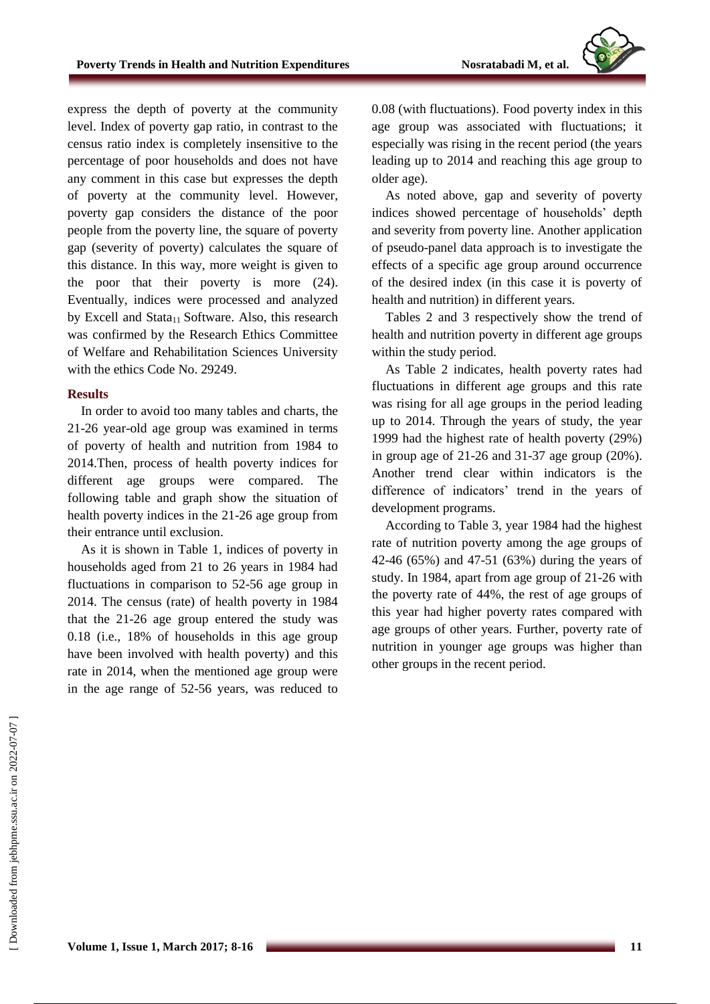

express the depth of poverty at the community level. Index of poverty gap ratio, in contrast to the census ratio index is completely insensitive to the percentage of poor households and does not have any comment in this case but expresses the depth of poverty at the community level. However, poverty gap considers the distance of the poor people from the poverty line, the square of poverty gap (severity of poverty) calculates the square of this distance. In this way, more weight is given to the poor that their poverty is more (24). Eventually, indices were processed and analyzed by Excell and Stata $_{11}$  Software. Also, this research was confirmed by the Research Ethics Committee of Welfare and Rehabilitation Sciences University with the ethics Code No. 29249.

### **Results**

In order to avoid too many tables and charts, the 21-26 year-old age group was examined in terms of poverty of health and nutrition from 1984 to 2014.Then, process of health poverty indices for different age groups were compared. The following table and graph show the situation of health poverty indices in the 21-26 age group from their entrance until exclusion.

As it is shown in Table 1, indices of poverty in households aged from 21 to 26 years in 1984 had fluctuations in comparison to 52-56 age group in 2014. The census (rate) of health poverty in 1984 that the 21-26 age group entered the study was 0.18 (i.e., 18% of households in this age group have been involved with health poverty) and this rate in 2014, when the mentioned age group were in the age range of 52-56 years, was reduced to 0.08 (with fluctuations). Food poverty index in this age group was associated with fluctuations; it especially was rising in the recent period (the years leading up to 2014 and reaching this age group to older age).

As noted above, gap and severity of poverty indices showed percentage of households' depth and severity from poverty line. Another application of pseudo-panel data approach is to investigate the effects of a specific age group around occurrence of the desired index (in this case it is poverty of health and nutrition) in different years.

Tables 2 and 3 respectively show the trend of health and nutrition poverty in different age groups within the study period.

As Table 2 indicates, health poverty rates had fluctuations in different age groups and this rate was rising for all age groups in the period leading up to 2014. Through the years of study, the year 1999 had the highest rate of health poverty (29%) in group age of 21-26 and 31-37 age group (20%). Another trend clear within indicators is the difference of indicators' trend in the years of development programs.

According to Table 3, year 1984 had the highest rate of nutrition poverty among the age groups of 42-46 (65%) and 47-51 (63%) during the years of study. In 1984, apart from age group of 21-26 with the poverty rate of 44%, the rest of age groups of this year had higher poverty rates compared with age groups of other years. Further, poverty rate of nutrition in younger age groups was higher than other groups in the recent period.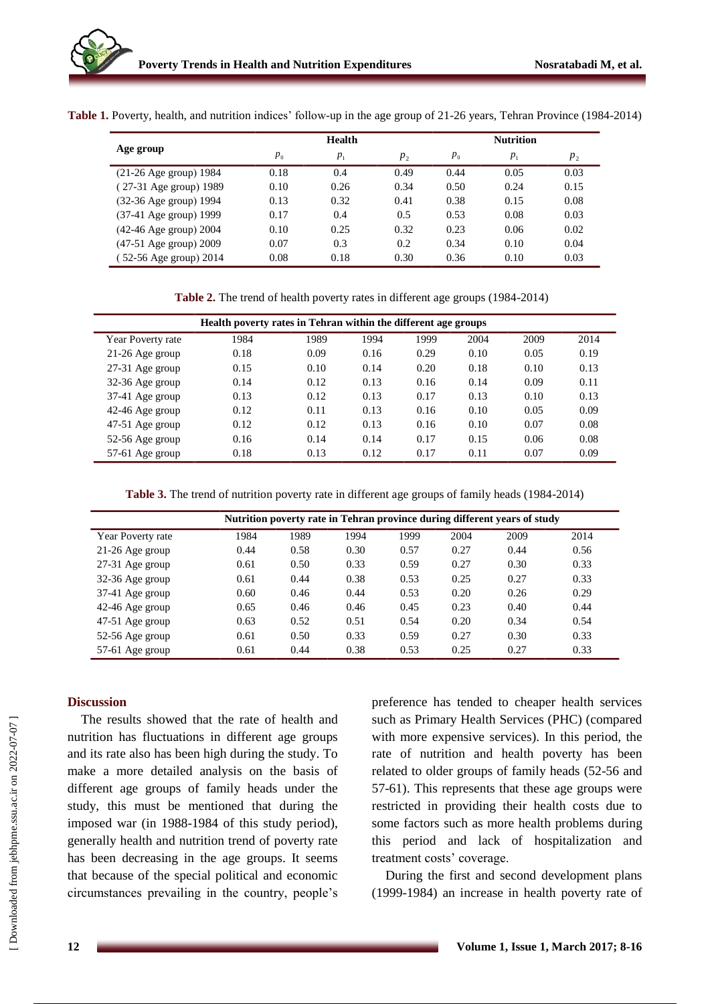| Age group                 |         | <b>Health</b> | <b>Nutrition</b> |         |         |         |
|---------------------------|---------|---------------|------------------|---------|---------|---------|
|                           | $p_{0}$ | $p_{1}$       | $p_{2}$          | $p_{0}$ | $p_{1}$ | $p_{2}$ |
| $(21-26$ Age group) 1984  | 0.18    | 0.4           | 0.49             | 0.44    | 0.05    | 0.03    |
| (27-31 Age group) 1989    | 0.10    | 0.26          | 0.34             | 0.50    | 0.24    | 0.15    |
| (32-36 Age group) 1994    | 0.13    | 0.32          | 0.41             | 0.38    | 0.15    | 0.08    |
| $(37-41)$ Age group) 1999 | 0.17    | 0.4           | 0.5              | 0.53    | 0.08    | 0.03    |

)42-46 Age group( 2004 0.10 0.25 0.32 0.23 0.06 0.02 )47-51 Age group( 2009 0.07 0.3 0.2 0.34 0.10 0.04  $(52-56 \text{ Age group})$  2014  $(0.08 \qquad 0.18 \qquad 0.30 \qquad 0.36 \qquad 0.10 \qquad 0.03$ 

**Table 1.** Poverty, health, and nutrition indices' follow-up in the age group of 21-26 years, Tehran Province (1984-2014)

**Table 2.** The trend of health poverty rates in different age groups (1984-2014)

| Health poverty rates in Tehran within the different age groups |      |      |      |      |      |      |      |
|----------------------------------------------------------------|------|------|------|------|------|------|------|
| Year Poverty rate                                              | 1984 | 1989 | 1994 | 1999 | 2004 | 2009 | 2014 |
| 21-26 Age group                                                | 0.18 | 0.09 | 0.16 | 0.29 | 0.10 | 0.05 | 0.19 |
| 27-31 Age group                                                | 0.15 | 0.10 | 0.14 | 0.20 | 0.18 | 0.10 | 0.13 |
| 32-36 Age group                                                | 0.14 | 0.12 | 0.13 | 0.16 | 0.14 | 0.09 | 0.11 |
| 37-41 Age group                                                | 0.13 | 0.12 | 0.13 | 0.17 | 0.13 | 0.10 | 0.13 |
| 42-46 Age group                                                | 0.12 | 0.11 | 0.13 | 0.16 | 0.10 | 0.05 | 0.09 |
| 47-51 Age group                                                | 0.12 | 0.12 | 0.13 | 0.16 | 0.10 | 0.07 | 0.08 |
| 52-56 Age group                                                | 0.16 | 0.14 | 0.14 | 0.17 | 0.15 | 0.06 | 0.08 |
| 57-61 Age group                                                | 0.18 | 0.13 | 0.12 | 0.17 | 0.11 | 0.07 | 0.09 |

**Table 3.** The trend of nutrition poverty rate in different age groups of family heads (1984-2014)

| Nutrition poverty rate in Tehran province during different years of study |      |      |      |      |      |      |      |  |  |
|---------------------------------------------------------------------------|------|------|------|------|------|------|------|--|--|
| Year Poverty rate                                                         | 1984 | 1989 | 1994 | 1999 | 2004 | 2009 | 2014 |  |  |
| $21-26$ Age group                                                         | 0.44 | 0.58 | 0.30 | 0.57 | 0.27 | 0.44 | 0.56 |  |  |
| $27-31$ Age group                                                         | 0.61 | 0.50 | 0.33 | 0.59 | 0.27 | 0.30 | 0.33 |  |  |
| 32-36 Age group                                                           | 0.61 | 0.44 | 0.38 | 0.53 | 0.25 | 0.27 | 0.33 |  |  |
| 37-41 Age group                                                           | 0.60 | 0.46 | 0.44 | 0.53 | 0.20 | 0.26 | 0.29 |  |  |
| 42-46 Age group                                                           | 0.65 | 0.46 | 0.46 | 0.45 | 0.23 | 0.40 | 0.44 |  |  |
| $47-51$ Age group                                                         | 0.63 | 0.52 | 0.51 | 0.54 | 0.20 | 0.34 | 0.54 |  |  |
| 52-56 Age group                                                           | 0.61 | 0.50 | 0.33 | 0.59 | 0.27 | 0.30 | 0.33 |  |  |
| $57-61$ Age group                                                         | 0.61 | 0.44 | 0.38 | 0.53 | 0.25 | 0.27 | 0.33 |  |  |

# **Discussion**

The results showed that the rate of health and nutrition has fluctuations in different age groups and its rate also has been high during the study. To make a more detailed analysis on the basis of different age groups of family heads under the study, this must be mentioned that during the imposed war (in 1988-1984 of this study period), generally health and nutrition trend of poverty rate has been decreasing in the age groups. It seems that because of the special political and economic circumstances prevailing in the country, people's

preference has tended to cheaper health services such as Primary Health Services (PHC) (compared with more expensive services). In this period, the rate of nutrition and health poverty has been related to older groups of family heads (52-56 and 57-61). This represents that these age groups were restricted in providing their health costs due to some factors such as more health problems during this period and lack of hospitalization and treatment costs' coverage.

During the first and second development plans (1999-1984) an increase in health poverty rate of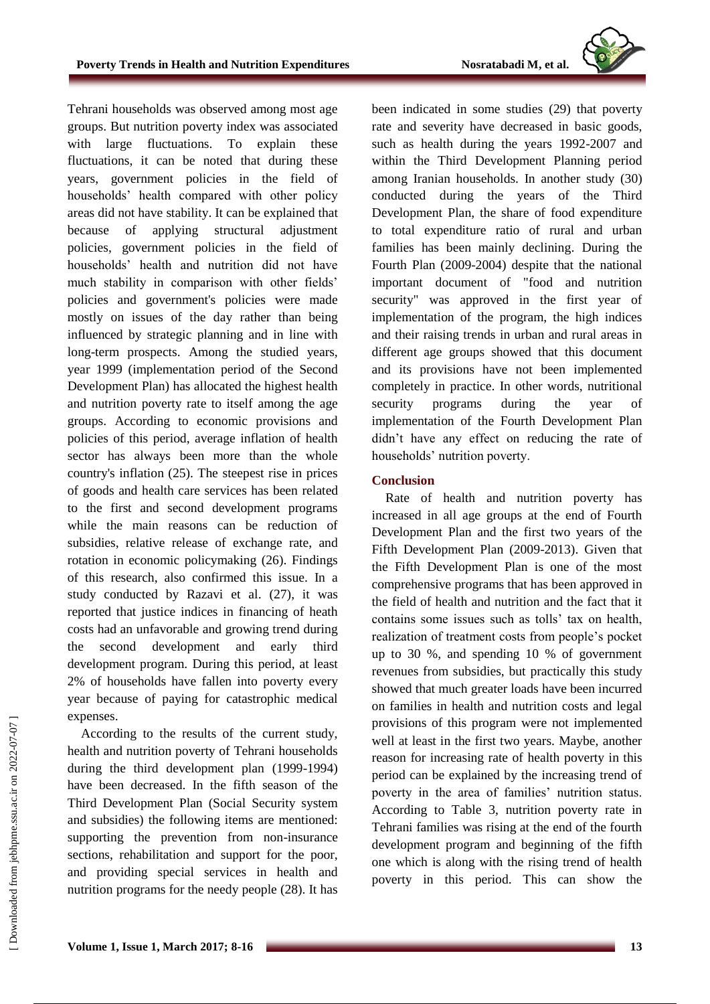

Tehrani households was observed among most age groups. But nutrition poverty index was associated with large fluctuations. To explain these fluctuations, it can be noted that during these years, government policies in the field of households' health compared with other policy areas did not have stability. It can be explained that because of applying structural adjustment policies, government policies in the field of households' health and nutrition did not have much stability in comparison with other fields' policies and government's policies were made mostly on issues of the day rather than being influenced by strategic planning and in line with long-term prospects. Among the studied years, year 1999 (implementation period of the Second Development Plan) has allocated the highest health and nutrition poverty rate to itself among the age groups. According to economic provisions and policies of this period, average inflation of health sector has always been more than the whole country's inflation (25). The steepest rise in prices of goods and health care services has been related to the first and second development programs while the main reasons can be reduction of subsidies, relative release of exchange rate, and rotation in economic policymaking (26). Findings of this research, also confirmed this issue. In a study conducted by Razavi et al. (27), it was reported that justice indices in financing of heath costs had an unfavorable and growing trend during the second development and early third development program. During this period, at least 2% of households have fallen into poverty every year because of paying for catastrophic medical expenses.

According to the results of the current study, health and nutrition poverty of Tehrani households during the third development plan (1999-1994) have been decreased. In the fifth season of the Third Development Plan (Social Security system and subsidies) the following items are mentioned: supporting the prevention from non-insurance sections, rehabilitation and support for the poor, and providing special services in health and nutrition programs for the needy people (28). It has been indicated in some studies (29) that poverty rate and severity have decreased in basic goods, such as health during the years 1992-2007 and within the Third Development Planning period among Iranian households. In another study (30) conducted during the years of the Third Development Plan, the share of food expenditure to total expenditure ratio of rural and urban families has been mainly declining. During the Fourth Plan (2009-2004) despite that the national important document of "food and nutrition security" was approved in the first year of implementation of the program, the high indices and their raising trends in urban and rural areas in different age groups showed that this document and its provisions have not been implemented completely in practice. In other words, nutritional security programs during the year of implementation of the Fourth Development Plan didn't have any effect on reducing the rate of households' nutrition poverty.

# **Conclusion**

Rate of health and nutrition poverty has increased in all age groups at the end of Fourth Development Plan and the first two years of the Fifth Development Plan (2009-2013). Given that the Fifth Development Plan is one of the most comprehensive programs that has been approved in the field of health and nutrition and the fact that it contains some issues such as tolls' tax on health, realization of treatment costs from people's pocket up to 30 %, and spending 10 % of government revenues from subsidies, but practically this study showed that much greater loads have been incurred on families in health and nutrition costs and legal provisions of this program were not implemented well at least in the first two years. Maybe, another reason for increasing rate of health poverty in this period can be explained by the increasing trend of poverty in the area of families' nutrition status. According to Table 3, nutrition poverty rate in Tehrani families was rising at the end of the fourth development program and beginning of the fifth one which is along with the rising trend of health poverty in this period. This can show the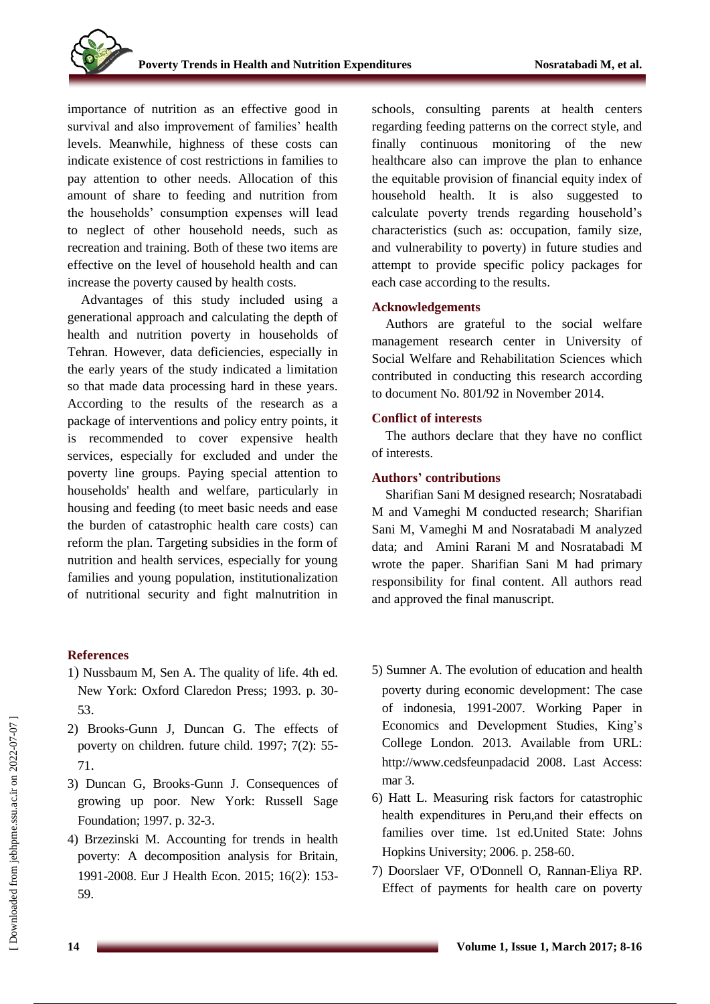importance of nutrition as an effective good in survival and also improvement of families' health levels. Meanwhile, highness of these costs can indicate existence of cost restrictions in families to pay attention to other needs. Allocation of this amount of share to feeding and nutrition from the households' consumption expenses will lead to neglect of other household needs, such as recreation and training. Both of these two items are effective on the level of household health and can increase the poverty caused by health costs.

Advantages of this study included using a generational approach and calculating the depth of health and nutrition poverty in households of Tehran. However, data deficiencies, especially in the early years of the study indicated a limitation so that made data processing hard in these years. According to the results of the research as a package of interventions and policy entry points, it is recommended to cover expensive health services, especially for excluded and under the poverty line groups. Paying special attention to households' health and welfare, particularly in housing and feeding (to meet basic needs and ease the burden of catastrophic health care costs) can reform the plan. Targeting subsidies in the form of nutrition and health services, especially for young families and young population, institutionalization of nutritional security and fight malnutrition in

# **References**

- 1) Nussbaum M, Sen A. The quality of life. 4th ed. New York: Oxford Claredon Press; 1993. p. 30- 53.
- 2) Brooks-Gunn J, Duncan G. The effects of poverty on children. future child. 1997; 7(2): 55- 71.
- 3) Duncan G, Brooks-Gunn J. Consequences of growing up poor. New York: Russell Sage Foundation; 1997. p. 32-3.
- 4) Brzezinski M. Accounting for trends in health poverty: A decomposition analysis for Britain, 1991-2008. Eur J Health Econ. 2015; 16(2): 153-59.

schools, consulting parents at health centers regarding feeding patterns on the correct style, and finally continuous monitoring of the new healthcare also can improve the plan to enhance the equitable provision of financial equity index of household health. It is also suggested to calculate poverty trends regarding household's characteristics (such as: occupation, family size, and vulnerability to poverty) in future studies and attempt to provide specific policy packages for each case according to the results.

# **Acknowledgements**

Authors are grateful to the social welfare management research center in University of Social Welfare and Rehabilitation Sciences which contributed in conducting this research according to document No. 801/92 in November 2014.

# **Conflict of interests**

The authors declare that they have no conflict of interests.

# **Authors' contributions**

Sharifian Sani M designed research; Nosratabadi M and Vameghi M conducted research; Sharifian Sani M, Vameghi M and Nosratabadi M analyzed data; and Amini Rarani M and Nosratabadi M wrote the paper. Sharifian Sani M had primary responsibility for final content. All authors read and approved the final manuscript.

- 5) Sumner A. The evolution of education and health poverty during economic development: The case of indonesia, 1991-2007. Working Paper in Economics and Development Studies, King's College London. 2013. Available from URL: [http://www.cedsfeunpadacid](http://www.cedsfeunpadacid/) 2008. Last Access: mar 3.
- 6) Hatt L. Measuring risk factors for catastrophic health expenditures in Peru,and their effects on families over time. 1st ed.United State: Johns Hopkins University; 2006. p. 258-60.
- 7) Doorslaer VF, O'Donnell O, Rannan-Eliya RP. Effect of payments for health care on poverty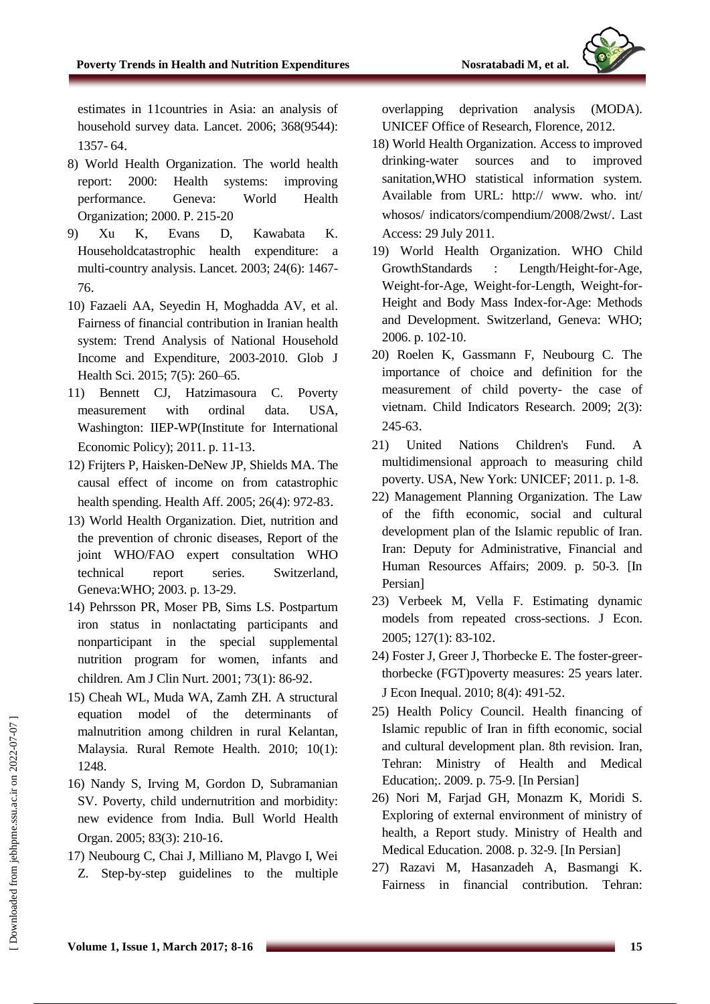

estimates in 11countries in Asia: an analysis of household survey data. Lancet. 2006; 368(9544): 1357- 64.

- 8) World Health Organization. The world health report: 2000: Health systems: improving performance. Geneva: World Health Organization; 2000. P. 215-20
- 9) Xu K, Evans D, Kawabata K. Householdcatastrophic health expenditure: a multi-country analysis. Lancet. 2003; 24(6): 1467- 76.
- 10) Fazaeli AA, Seyedin H, Moghadda AV, et al. Fairness of financial contribution in Iranian health system: Trend Analysis of National Household Income and Expenditure, 2003-2010. Glob J Health Sci. 2015; 7(5): 260–65.
- 11) Bennett CJ, Hatzimasoura C. Poverty measurement with ordinal data. USA, Washington: IIEP-WP(Institute for International Economic Policy); 2011. p. 11-13.
- 12) Frijters P, Haisken-DeNew JP, Shields MA. The causal effect of income on from catastrophic health spending. Health Aff. 2005; 26(4): 972-83.
- 13) World Health Organization. Diet, nutrition and the prevention of chronic diseases, Report of the joint WHO/FAO expert consultation WHO technical report series. Switzerland, Geneva:WHO; 2003. p. 13-29.
- 14) Pehrsson PR, Moser PB, Sims LS. Postpartum iron status in nonlactating participants and nonparticipant in the special supplemental nutrition program for women, infants and children. Am J Clin Nurt. 2001; 73(1): 86-92.
- 15) Cheah WL, Muda WA, Zamh ZH. A structural equation model of the determinants of malnutrition among children in rural Kelantan, Malaysia. Rural Remote Health. 2010; 10(1): 1248.
- 16) Nandy S, Irving M, Gordon D, Subramanian SV. Poverty, child undernutrition and morbidity: new evidence from India. Bull World Health Organ. 2005; 83(3): 210-16.
- 17) Neubourg C, Chai J, Milliano M, Plavgo I, Wei Z. Step-by-step guidelines to the multiple

overlapping deprivation analysis (MODA). UNICEF Office of Research, Florence, 2012.

- 18) World Health Organization. Access to improved drinking-water sources and to improved sanitation,WHO statistical information system. Available from URL: http:// www. who. int/ whosos/ indicators/compendium/2008/2wst/. Last Access: 29 July 2011.
- 19) World Health Organization. WHO Child GrowthStandards : Length/Height-for-Age, Weight-for-Age, Weight-for-Length, Weight-for-Height and Body Mass Index-for-Age: Methods and Development. Switzerland, Geneva: WHO; 2006. p. 102-10.
- 20) Roelen K, Gassmann F, Neubourg C. The importance of choice and definition for the measurement of child poverty- the case of vietnam. Child Indicators Research. 2009; 2(3): 245-63.
- 21) United Nations Children's Fund. A multidimensional approach to measuring child poverty. USA, New York: UNICEF; 2011. p. 1-8.
- 22) Management Planning Organization. The Law of the fifth economic, social and cultural development plan of the Islamic republic of Iran. Iran: Deputy for Administrative, Financial and Human Resources Affairs; 2009. p. 50-3. [In Persian]
- 23) Verbeek M, Vella F. Estimating dynamic models from repeated cross-sections. J Econ. 2005; 127(1): 83-102.
- 24) Foster J, Greer J, Thorbecke E. The foster-greerthorbecke (FGT)poverty measures: 25 years later. J Econ Inequal. 2010; 8(4): 491-52.
- 25) Health Policy Council. Health financing of Islamic republic of Iran in fifth economic, social and cultural development plan. 8th revision. Iran, Tehran: Ministry of Health and Medical Education;. 2009. p. 75-9. [In Persian]
- 26) Nori M, Farjad GH, Monazm K, Moridi S. Exploring of external environment of ministry of health, a Report study. Ministry of Health and Medical Education. 2008. p. 32-9. [In Persian]
- 27) Razavi M, Hasanzadeh A, Basmangi K. Fairness in financial contribution. Tehran: